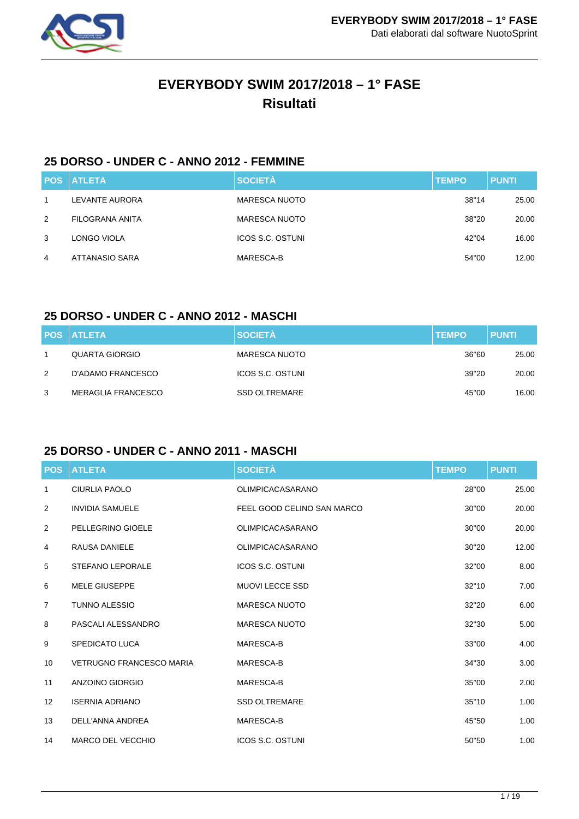

# **EVERYBODY SWIM 2017/2018 – 1° FASE Risultati**

## **25 DORSO - UNDER C - ANNO 2012 - FEMMINE**

|   | <b>POS ATLETA</b> | <b>SOCIETÀ</b>          | <b>TEMPO</b> | <b>PUNTI</b> |
|---|-------------------|-------------------------|--------------|--------------|
| 1 | LEVANTE AURORA    | <b>MARESCA NUOTO</b>    | 38"14        | 25.00        |
| 2 | FILOGRANA ANITA   | <b>MARESCA NUOTO</b>    | 38"20        | 20.00        |
| 3 | LONGO VIOLA       | <b>ICOS S.C. OSTUNI</b> | 42"04        | 16.00        |
| 4 | ATTANASIO SARA    | MARESCA-B               | 54"00        | 12.00        |

### **25 DORSO - UNDER C - ANNO 2012 - MASCHI**

|   | <b>POS ATLETA</b>         | <b>SOCIETÀ</b>       | <b>TEMPO</b> | <b>PUNTI</b> |
|---|---------------------------|----------------------|--------------|--------------|
|   | QUARTA GIORGIO            | <b>MARESCA NUOTO</b> | 36"60        | 25.00        |
| 2 | D'ADAMO FRANCESCO         | ICOS S.C. OSTUNI     | 39"20        | 20.00        |
| 3 | <b>MERAGLIA FRANCESCO</b> | <b>SSD OLTREMARE</b> | 45"00        | 16.00        |

## **25 DORSO - UNDER C - ANNO 2011 - MASCHI**

| <b>POS</b>        | <b>ATLETA</b>                   | <b>SOCIETÀ</b>             | <b>TEMPO</b> | <b>PUNTI</b> |
|-------------------|---------------------------------|----------------------------|--------------|--------------|
| 1                 | <b>CIURLIA PAOLO</b>            | <b>OLIMPICACASARANO</b>    | 28"00        | 25.00        |
| 2                 | <b>INVIDIA SAMUELE</b>          | FEEL GOOD CELINO SAN MARCO | 30"00        | 20.00        |
| 2                 | PELLEGRINO GIOELE               | <b>OLIMPICACASARANO</b>    | 30"00        | 20.00        |
| 4                 | RAUSA DANIELE                   | <b>OLIMPICACASARANO</b>    | 30"20        | 12.00        |
| 5                 | <b>STEFANO LEPORALE</b>         | <b>ICOS S.C. OSTUNI</b>    | 32"00        | 8.00         |
| 6                 | <b>MELE GIUSEPPE</b>            | <b>MUOVI LECCE SSD</b>     | 32"10        | 7.00         |
| $\overline{7}$    | <b>TUNNO ALESSIO</b>            | <b>MARESCA NUOTO</b>       | 32"20        | 6.00         |
| 8                 | PASCALI ALESSANDRO              | <b>MARESCA NUOTO</b>       | 32"30        | 5.00         |
| 9                 | <b>SPEDICATO LUCA</b>           | MARESCA-B                  | 33"00        | 4.00         |
| 10                | <b>VETRUGNO FRANCESCO MARIA</b> | MARESCA-B                  | 34"30        | 3.00         |
| 11                | ANZOINO GIORGIO                 | MARESCA-B                  | 35"00        | 2.00         |
| $12 \overline{ }$ | <b>ISERNIA ADRIANO</b>          | <b>SSD OLTREMARE</b>       | 35"10        | 1.00         |
| 13                | DELL'ANNA ANDREA                | MARESCA-B                  | 45"50        | 1.00         |
| 14                | <b>MARCO DEL VECCHIO</b>        | <b>ICOS S.C. OSTUNI</b>    | 50"50        | 1.00         |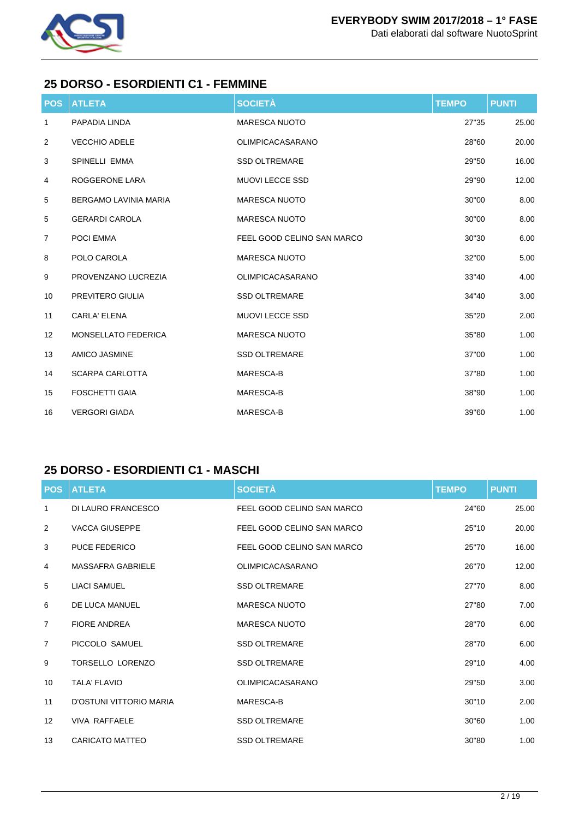

### **25 DORSO - ESORDIENTI C1 - FEMMINE**

| <b>POS</b>     | <b>ATLETA</b>                | <b>SOCIETÀ</b>             | <b>TEMPO</b> | <b>PUNTI</b> |
|----------------|------------------------------|----------------------------|--------------|--------------|
| 1              | PAPADIA LINDA                | <b>MARESCA NUOTO</b>       | 27"35        | 25.00        |
| $\overline{2}$ | <b>VECCHIO ADELE</b>         | <b>OLIMPICACASARANO</b>    | 28"60        | 20.00        |
| 3              | SPINELLI EMMA                | <b>SSD OLTREMARE</b>       | 29"50        | 16.00        |
| 4              | ROGGERONE LARA               | <b>MUOVI LECCE SSD</b>     | 29"90        | 12.00        |
| 5              | <b>BERGAMO LAVINIA MARIA</b> | <b>MARESCA NUOTO</b>       | 30"00        | 8.00         |
| 5              | <b>GERARDI CAROLA</b>        | <b>MARESCA NUOTO</b>       | 30"00        | 8.00         |
| $\overline{7}$ | POCI EMMA                    | FEEL GOOD CELINO SAN MARCO | 30"30        | 6.00         |
| 8              | POLO CAROLA                  | <b>MARESCA NUOTO</b>       | 32"00        | 5.00         |
| 9              | PROVENZANO LUCREZIA          | <b>OLIMPICACASARANO</b>    | 33"40        | 4.00         |
| 10             | PREVITERO GIULIA             | <b>SSD OLTREMARE</b>       | 34"40        | 3.00         |
| 11             | <b>CARLA' ELENA</b>          | <b>MUOVI LECCE SSD</b>     | 35"20        | 2.00         |
| 12             | <b>MONSELLATO FEDERICA</b>   | <b>MARESCA NUOTO</b>       | 35"80        | 1.00         |
| 13             | <b>AMICO JASMINE</b>         | <b>SSD OLTREMARE</b>       | 37"00        | 1.00         |
| 14             | <b>SCARPA CARLOTTA</b>       | MARESCA-B                  | 37"80        | 1.00         |
| 15             | <b>FOSCHETTI GAIA</b>        | MARESCA-B                  | 38"90        | 1.00         |
| 16             | <b>VERGORI GIADA</b>         | MARESCA-B                  | 39"60        | 1.00         |

## **25 DORSO - ESORDIENTI C1 - MASCHI**

| <b>POS</b>        | <b>ATLETA</b>            | <b>SOCIETÀ</b>             | <b>TEMPO</b> | <b>PUNTI</b> |
|-------------------|--------------------------|----------------------------|--------------|--------------|
| 1                 | DI LAURO FRANCESCO       | FEEL GOOD CELINO SAN MARCO | 24"60        | 25.00        |
| 2                 | <b>VACCA GIUSEPPE</b>    | FEEL GOOD CELINO SAN MARCO | 25"10        | 20.00        |
| 3                 | <b>PUCE FEDERICO</b>     | FEEL GOOD CELINO SAN MARCO | 25"70        | 16.00        |
| 4                 | <b>MASSAFRA GABRIELE</b> | OLIMPICACASARANO           | 26"70        | 12.00        |
| 5                 | <b>LIACI SAMUEL</b>      | <b>SSD OLTREMARE</b>       | 27"70        | 8.00         |
| 6                 | DE LUCA MANUEL           | <b>MARESCA NUOTO</b>       | 27"80        | 7.00         |
| $\overline{7}$    | <b>FIORE ANDREA</b>      | <b>MARESCA NUOTO</b>       | 28"70        | 6.00         |
| $\overline{7}$    | PICCOLO SAMUEL           | <b>SSD OLTREMARE</b>       | 28"70        | 6.00         |
| 9                 | <b>TORSELLO LORENZO</b>  | <b>SSD OLTREMARE</b>       | 29"10        | 4.00         |
| 10                | <b>TALA' FLAVIO</b>      | <b>OLIMPICACASARANO</b>    | 29"50        | 3.00         |
| 11                | D'OSTUNI VITTORIO MARIA  | MARESCA-B                  | 30"10        | 2.00         |
| $12 \overline{ }$ | <b>VIVA RAFFAELE</b>     | <b>SSD OLTREMARE</b>       | 30"60        | 1.00         |
| 13                | CARICATO MATTEO          | <b>SSD OLTREMARE</b>       | 30"80        | 1.00         |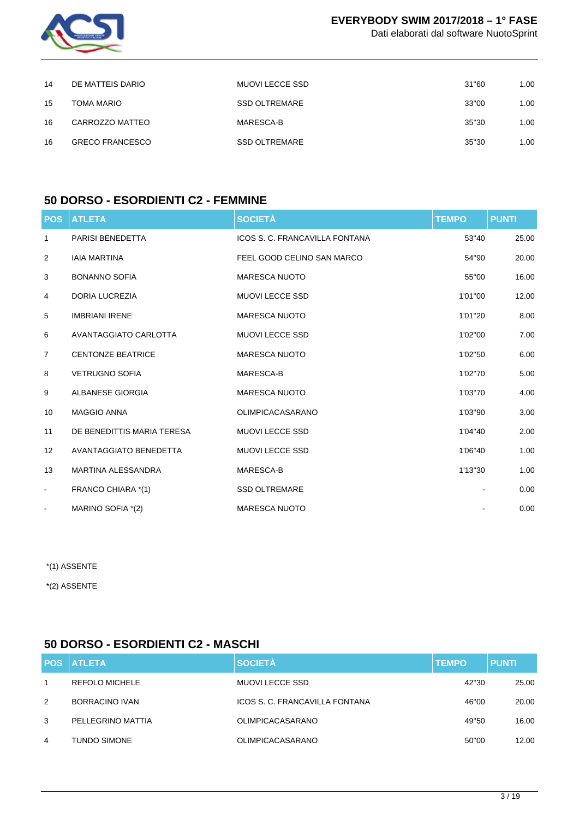

Dati elaborati dal software NuotoSprint

| 14 | DE MATTEIS DARIO       | MUOVI LECCE SSD      | 31"60 | 1.00 |
|----|------------------------|----------------------|-------|------|
| 15 | TOMA MARIO             | <b>SSD OLTREMARE</b> | 33"00 | 1.00 |
| 16 | CARROZZO MATTEO        | MARESCA-B            | 35"30 | 1.00 |
| 16 | <b>GRECO FRANCESCO</b> | <b>SSD OLTREMARE</b> | 35"30 | 1.00 |

## **50 DORSO - ESORDIENTI C2 - FEMMINE**

| <b>POS</b>     | <b>ATLETA</b>              | <b>SOCIETÀ</b>                 | <b>TEMPO</b> | <b>PUNTI</b> |
|----------------|----------------------------|--------------------------------|--------------|--------------|
| 1              | <b>PARISI BENEDETTA</b>    | ICOS S. C. FRANCAVILLA FONTANA | 53"40        | 25.00        |
| $\overline{2}$ | <b>IAIA MARTINA</b>        | FEEL GOOD CELINO SAN MARCO     | 54"90        | 20.00        |
| 3              | <b>BONANNO SOFIA</b>       | <b>MARESCA NUOTO</b>           | 55"00        | 16.00        |
| 4              | <b>DORIA LUCREZIA</b>      | <b>MUOVI LECCE SSD</b>         | 1'01"00      | 12.00        |
| 5              | <b>IMBRIANI IRENE</b>      | <b>MARESCA NUOTO</b>           | 1'01"20      | 8.00         |
| 6              | AVANTAGGIATO CARLOTTA      | <b>MUOVI LECCE SSD</b>         | 1'02"00      | 7.00         |
| $\overline{7}$ | <b>CENTONZE BEATRICE</b>   | <b>MARESCA NUOTO</b>           | 1'02"50      | 6.00         |
| 8              | <b>VETRUGNO SOFIA</b>      | MARESCA-B                      | 1'02"70      | 5.00         |
| 9              | ALBANESE GIORGIA           | <b>MARESCA NUOTO</b>           | 1'03"70      | 4.00         |
| 10             | <b>MAGGIO ANNA</b>         | <b>OLIMPICACASARANO</b>        | 1'03"90      | 3.00         |
| 11             | DE BENEDITTIS MARIA TERESA | <b>MUOVI LECCE SSD</b>         | 1'04"40      | 2.00         |
| 12             | AVANTAGGIATO BENEDETTA     | <b>MUOVI LECCE SSD</b>         | 1'06"40      | 1.00         |
| 13             | <b>MARTINA ALESSANDRA</b>  | MARESCA-B                      | 1'13"30      | 1.00         |
| $\blacksquare$ | FRANCO CHIARA *(1)         | <b>SSD OLTREMARE</b>           |              | 0.00         |
|                | MARINO SOFIA *(2)          | <b>MARESCA NUOTO</b>           |              | 0.00         |

\*(1) ASSENTE

\*(2) ASSENTE

## **50 DORSO - ESORDIENTI C2 - MASCHI**

|   | <b>POS ATLETA</b>     | <b>SOCIETÀ</b>                 | <b>TEMPO</b> | <b>PUNTI</b> |
|---|-----------------------|--------------------------------|--------------|--------------|
| 1 | <b>REFOLO MICHELE</b> | <b>MUOVI LECCE SSD</b>         | 42"30        | 25.00        |
| 2 | BORRACINO IVAN        | ICOS S. C. FRANCAVILLA FONTANA | 46"00        | 20.00        |
| 3 | PELLEGRINO MATTIA     | <b>OLIMPICACASARANO</b>        | 49"50        | 16.00        |
| 4 | <b>TUNDO SIMONE</b>   | <b>OLIMPICACASARANO</b>        | 50"00        | 12.00        |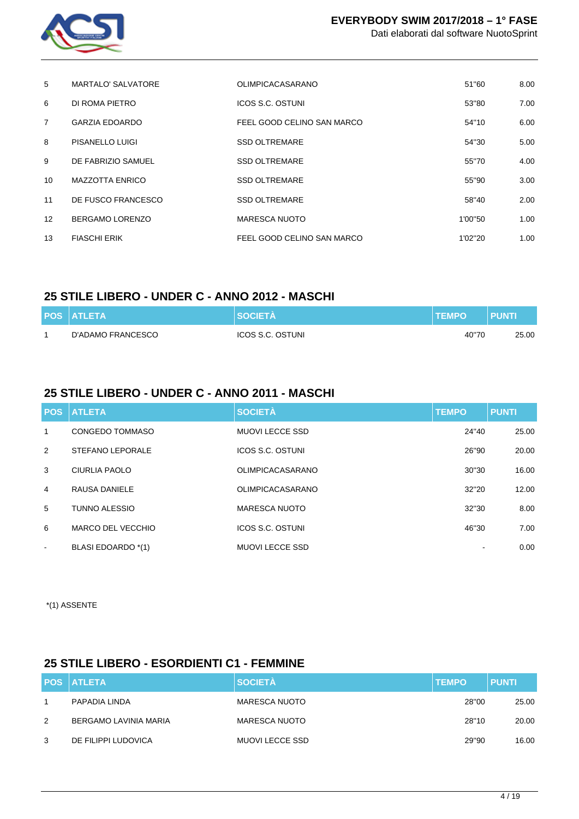

| 5              | MARTALO' SALVATORE     | <b>OLIMPICACASARANO</b>    | 51"60   | 8.00 |
|----------------|------------------------|----------------------------|---------|------|
| 6              | DI ROMA PIETRO         | ICOS S.C. OSTUNI           | 53"80   | 7.00 |
| $\overline{7}$ | <b>GARZIA EDOARDO</b>  | FEEL GOOD CELINO SAN MARCO | 54"10   | 6.00 |
| 8              | PISANELLO LUIGI        | <b>SSD OLTREMARE</b>       | 54"30   | 5.00 |
| 9              | DE FABRIZIO SAMUEL     | <b>SSD OLTREMARE</b>       | 55"70   | 4.00 |
| 10             | <b>MAZZOTTA ENRICO</b> | <b>SSD OLTREMARE</b>       | 55"90   | 3.00 |
| 11             | DE FUSCO FRANCESCO     | <b>SSD OLTREMARE</b>       | 58"40   | 2.00 |
| 12             | BERGAMO LORENZO        | <b>MARESCA NUOTO</b>       | 1'00"50 | 1.00 |
| 13             | <b>FIASCHI ERIK</b>    | FEEL GOOD CELINO SAN MARCO | 1'02"20 | 1.00 |

## **25 STILE LIBERO - UNDER C - ANNO 2012 - MASCHI**

| <b>POS ATLETA</b> | <b>SOCIETA</b>   | <b>TEMPO</b> | <b>PUNTI</b> |
|-------------------|------------------|--------------|--------------|
| D'ADAMO FRANCESCO | ICOS S.C. OSTUNI | 40"70        | 25.00        |

### **25 STILE LIBERO - UNDER C - ANNO 2011 - MASCHI**

|                          | <b>POS ATLETA</b>       | <b>SOCIETÀ</b>          | <b>TEMPO</b> | <b>PUNTI</b> |
|--------------------------|-------------------------|-------------------------|--------------|--------------|
| 1                        | CONGEDO TOMMASO         | MUOVI LECCE SSD         | 24"40        | 25.00        |
| 2                        | <b>STEFANO LEPORALE</b> | ICOS S.C. OSTUNI        | 26"90        | 20.00        |
| 3                        | CIURLIA PAOLO           | <b>OLIMPICACASARANO</b> | 30"30        | 16.00        |
| $\overline{4}$           | RAUSA DANIELE           | <b>OLIMPICACASARANO</b> | 32"20        | 12.00        |
| 5                        | TUNNO ALESSIO           | <b>MARESCA NUOTO</b>    | 32"30        | 8.00         |
| 6                        | MARCO DEL VECCHIO       | <b>ICOS S.C. OSTUNI</b> | 46"30        | 7.00         |
| $\overline{\phantom{a}}$ | BLASI EDOARDO *(1)      | <b>MUOVI LECCE SSD</b>  | ۰            | 0.00         |

\*(1) ASSENTE

#### **25 STILE LIBERO - ESORDIENTI C1 - FEMMINE**

|   | <b>POS ATLETA</b>     | <b>SOCIETÀ</b>       | <b>TEMPO</b> | <b>PUNTI</b> |
|---|-----------------------|----------------------|--------------|--------------|
|   | PAPADIA LINDA         | <b>MARESCA NUOTO</b> | 28"00        | 25.00        |
| 2 | BERGAMO LAVINIA MARIA | <b>MARESCA NUOTO</b> | 28"10        | 20.00        |
| 3 | DE FILIPPI LUDOVICA   | MUOVI LECCE SSD      | 29"90        | 16.00        |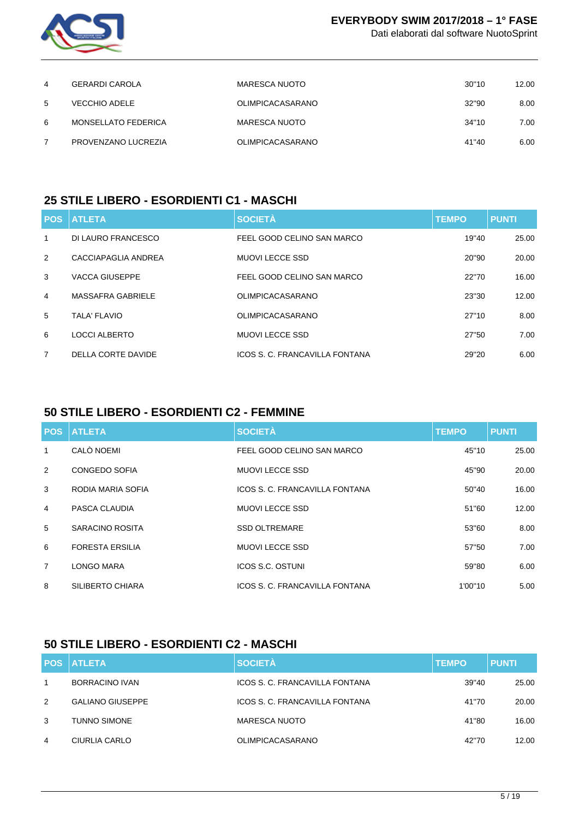

Dati elaborati dal software NuotoSprint

| 4 | GERARDI CAROLA       | MARESCA NUOTO           | 30"10 | 12.00 |
|---|----------------------|-------------------------|-------|-------|
| 5 | <b>VECCHIO ADELE</b> | <b>OLIMPICACASARANO</b> | 32"90 | 8.00  |
| 6 | MONSELLATO FEDERICA  | MARESCA NUOTO           | 34"10 | 7.00  |
|   | PROVENZANO LUCREZIA  | <b>OLIMPICACASARANO</b> | 41"40 | 6.00  |

### **25 STILE LIBERO - ESORDIENTI C1 - MASCHI**

| <b>POS</b>     | <b>ATLETA</b>            | <b>SOCIETÀ</b>                 | <b>TEMPO</b> | <b>PUNTI</b> |
|----------------|--------------------------|--------------------------------|--------------|--------------|
| 1              | DI LAURO FRANCESCO       | FEEL GOOD CELINO SAN MARCO     | 19"40        | 25.00        |
| $\mathcal{P}$  | CACCIAPAGLIA ANDREA      | MUOVI LECCE SSD                | 20"90        | 20.00        |
| 3              | <b>VACCA GIUSEPPE</b>    | FEEL GOOD CELINO SAN MARCO     | 22"70        | 16.00        |
| $\overline{4}$ | <b>MASSAFRA GABRIELE</b> | <b>OLIMPICACASARANO</b>        | 23"30        | 12.00        |
| 5              | TALA' FLAVIO             | <b>OLIMPICACASARANO</b>        | 27"10        | 8.00         |
| 6              | LOCCI ALBERTO            | MUOVI LECCE SSD                | 27"50        | 7.00         |
| $\overline{7}$ | DELLA CORTE DAVIDE       | ICOS S. C. FRANCAVILLA FONTANA | 29"20        | 6.00         |

## **50 STILE LIBERO - ESORDIENTI C2 - FEMMINE**

|                | <b>POS ATLETA</b>      | <b>SOCIETÀ</b>                 | <b>TEMPO</b> | <b>PUNTI</b> |
|----------------|------------------------|--------------------------------|--------------|--------------|
| 1              | CALÒ NOEMI             | FEEL GOOD CELINO SAN MARCO     | 45"10        | 25.00        |
| 2              | <b>CONGEDO SOFIA</b>   | <b>MUOVI LECCE SSD</b>         | 45"90        | 20.00        |
| 3              | RODIA MARIA SOFIA      | ICOS S. C. FRANCAVILLA FONTANA | 50"40        | 16.00        |
| $\overline{4}$ | PASCA CLAUDIA          | <b>MUOVI LECCE SSD</b>         | 51"60        | 12.00        |
| 5              | SARACINO ROSITA        | <b>SSD OLTREMARE</b>           | 53"60        | 8.00         |
| 6              | <b>FORESTA ERSILIA</b> | <b>MUOVI LECCE SSD</b>         | 57"50        | 7.00         |
| $\overline{7}$ | LONGO MARA             | ICOS S.C. OSTUNI               | 59"80        | 6.00         |
| 8              | SILIBERTO CHIARA       | ICOS S. C. FRANCAVILLA FONTANA | 1'00"10      | 5.00         |

## **50 STILE LIBERO - ESORDIENTI C2 - MASCHI**

|              | <b>POS ATLETA</b>       | <b>SOCIETÀ</b>                 | <b>TEMPO</b> | <b>PUNTI</b> |
|--------------|-------------------------|--------------------------------|--------------|--------------|
| $\mathbf{1}$ | BORRACINO IVAN          | ICOS S. C. FRANCAVILLA FONTANA | 39"40        | 25.00        |
| 2            | <b>GALIANO GIUSEPPE</b> | ICOS S. C. FRANCAVILLA FONTANA | 41"70        | 20.00        |
| 3            | <b>TUNNO SIMONE</b>     | <b>MARESCA NUOTO</b>           | 41"80        | 16.00        |
| 4            | CIURLIA CARLO           | <b>OLIMPICACASARANO</b>        | 42"70        | 12.00        |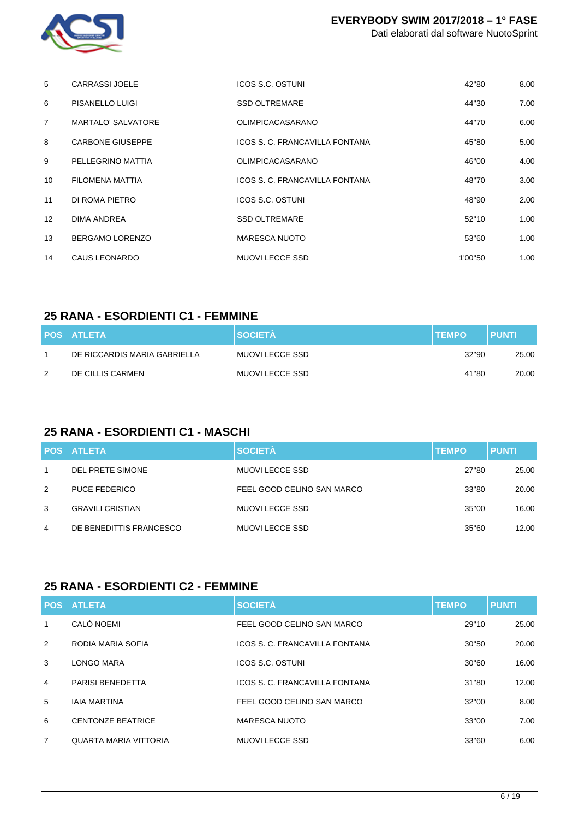

| 5                 | <b>CARRASSI JOELE</b>     | ICOS S.C. OSTUNI               | 42"80   | 8.00 |
|-------------------|---------------------------|--------------------------------|---------|------|
| 6                 | PISANELLO LUIGI           | <b>SSD OLTREMARE</b>           | 44"30   | 7.00 |
| $\overline{7}$    | <b>MARTALO' SALVATORE</b> | <b>OLIMPICACASARANO</b>        | 44"70   | 6.00 |
| 8                 | <b>CARBONE GIUSEPPE</b>   | ICOS S. C. FRANCAVILLA FONTANA | 45"80   | 5.00 |
| 9                 | PELLEGRINO MATTIA         | <b>OLIMPICACASARANO</b>        | 46"00   | 4.00 |
| 10                | <b>FILOMENA MATTIA</b>    | ICOS S. C. FRANCAVILLA FONTANA | 48"70   | 3.00 |
| 11                | DI ROMA PIETRO            | ICOS S.C. OSTUNI               | 48"90   | 2.00 |
| $12 \overline{ }$ | DIMA ANDREA               | <b>SSD OLTREMARE</b>           | 52"10   | 1.00 |
| 13                | BERGAMO LORENZO           | <b>MARESCA NUOTO</b>           | 53"60   | 1.00 |
| 14                | CAUS LEONARDO             | <b>MUOVI LECCE SSD</b>         | 1'00"50 | 1.00 |

### **25 RANA - ESORDIENTI C1 - FEMMINE**

|               | <b>POS ATLETA</b>            | <b>SOCIETA</b>  | <b>ITEMPO</b> | <b>PUNTI</b> |
|---------------|------------------------------|-----------------|---------------|--------------|
|               | DE RICCARDIS MARIA GABRIELLA | MUOVI LECCE SSD | 32"90         | 25.00        |
| $\mathcal{P}$ | DE CILLIS CARMEN             | MUOVI LECCE SSD | 41"80         | 20.00        |

## **25 RANA - ESORDIENTI C1 - MASCHI**

|   | <b>POS ATLETA</b>       | <b>SOCIETA</b>             | <b>TEMPO</b> | <b>PUNTI</b> |
|---|-------------------------|----------------------------|--------------|--------------|
| 1 | DEL PRETE SIMONE        | MUOVI LECCE SSD            | 27"80        | 25.00        |
| 2 | <b>PUCE FEDERICO</b>    | FEEL GOOD CELINO SAN MARCO | 33"80        | 20.00        |
| 3 | <b>GRAVILI CRISTIAN</b> | MUOVI LECCE SSD            | 35"00        | 16.00        |
| 4 | DE BENEDITTIS FRANCESCO | MUOVI LECCE SSD            | 35"60        | 12.00        |

#### **25 RANA - ESORDIENTI C2 - FEMMINE**

| <b>POS</b>     | <b>ATLETA</b>            | <b>SOCIETÀ</b>                 | <b>TEMPO</b> | <b>PUNTI</b> |
|----------------|--------------------------|--------------------------------|--------------|--------------|
| 1              | CALÒ NOEMI               | FEEL GOOD CELINO SAN MARCO     | 29"10        | 25.00        |
| 2              | RODIA MARIA SOFIA        | ICOS S. C. FRANCAVILLA FONTANA | 30"50        | 20.00        |
| 3              | LONGO MARA               | ICOS S.C. OSTUNI               | 30"60        | 16.00        |
| 4              | <b>PARISI BENEDETTA</b>  | ICOS S. C. FRANCAVILLA FONTANA | 31"80        | 12.00        |
| 5              | <b>IAIA MARTINA</b>      | FEEL GOOD CELINO SAN MARCO     | 32"00        | 8.00         |
| 6              | <b>CENTONZE BEATRICE</b> | MARESCA NUOTO                  | 33"00        | 7.00         |
| $\overline{7}$ | QUARTA MARIA VITTORIA    | MUOVI LECCE SSD                | 33"60        | 6.00         |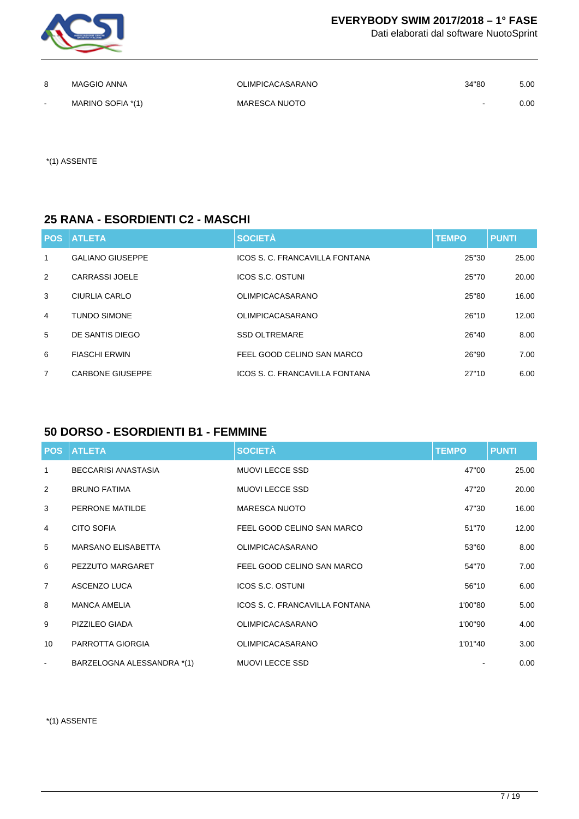

Dati elaborati dal software NuotoSprint

|        | MAGGIO ANNA       | <b>OLIMPICACASARANO</b> | 34"80                    | 5.00 |
|--------|-------------------|-------------------------|--------------------------|------|
| $\sim$ | MARINO SOFIA *(1) | MARESCA NUOTO           | $\overline{\phantom{a}}$ | 0.00 |

\*(1) ASSENTE

#### **25 RANA - ESORDIENTI C2 - MASCHI**

|                | <b>POS ATLETA</b>       | <b>SOCIETÀ</b>                 | <b>TEMPO</b> | <b>PUNTI</b> |
|----------------|-------------------------|--------------------------------|--------------|--------------|
| $\mathbf{1}$   | <b>GALIANO GIUSEPPE</b> | ICOS S. C. FRANCAVILLA FONTANA | 25"30        | 25.00        |
| 2              | <b>CARRASSI JOELE</b>   | ICOS S.C. OSTUNI               | 25"70        | 20.00        |
| 3              | CIURLIA CARLO           | <b>OLIMPICACASARANO</b>        | 25"80        | 16.00        |
| $\overline{4}$ | <b>TUNDO SIMONE</b>     | <b>OLIMPICACASARANO</b>        | 26"10        | 12.00        |
| 5              | DE SANTIS DIEGO         | <b>SSD OLTREMARE</b>           | 26"40        | 8.00         |
| 6              | <b>FIASCHI ERWIN</b>    | FEEL GOOD CELINO SAN MARCO     | 26"90        | 7.00         |
| 7              | <b>CARBONE GIUSEPPE</b> | ICOS S. C. FRANCAVILLA FONTANA | 27"10        | 6.00         |

## **50 DORSO - ESORDIENTI B1 - FEMMINE**

| <b>POS</b>     | <b>ATLETA</b>              | <b>SOCIETÀ</b>                 | <b>TEMPO</b> | <b>PUNTI</b> |
|----------------|----------------------------|--------------------------------|--------------|--------------|
| $\mathbf{1}$   | <b>BECCARISI ANASTASIA</b> | <b>MUOVI LECCE SSD</b>         | 47"00        | 25.00        |
| 2              | <b>BRUNO FATIMA</b>        | <b>MUOVI LECCE SSD</b>         | 47"20        | 20.00        |
| 3              | PERRONE MATILDE            | <b>MARESCA NUOTO</b>           | 47"30        | 16.00        |
| 4              | <b>CITO SOFIA</b>          | FEEL GOOD CELINO SAN MARCO     | 51"70        | 12.00        |
| 5              | <b>MARSANO ELISABETTA</b>  | <b>OLIMPICACASARANO</b>        | 53"60        | 8.00         |
| 6              | PEZZUTO MARGARET           | FEEL GOOD CELINO SAN MARCO     | 54"70        | 7.00         |
| $\overline{7}$ | ASCENZO LUCA               | <b>ICOS S.C. OSTUNI</b>        | 56"10        | 6.00         |
| 8              | <b>MANCA AMELIA</b>        | ICOS S. C. FRANCAVILLA FONTANA | 1'00"80      | 5.00         |
| 9              | PIZZILEO GIADA             | <b>OLIMPICACASARANO</b>        | 1'00"90      | 4.00         |
| 10             | PARROTTA GIORGIA           | <b>OLIMPICACASARANO</b>        | 1'01"40      | 3.00         |
| $\blacksquare$ | BARZELOGNA ALESSANDRA *(1) | <b>MUOVI LECCE SSD</b>         |              | 0.00         |

\*(1) ASSENTE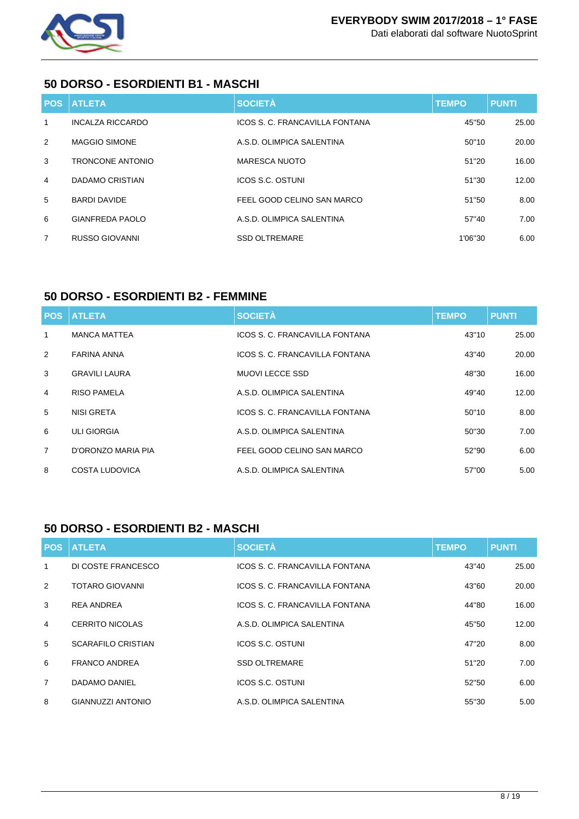

#### **50 DORSO - ESORDIENTI B1 - MASCHI**

| POS, | <b>ATLETA</b>        | <b>SOCIETÀ</b>                 | <b>TEMPO</b> | <b>PUNTI</b> |
|------|----------------------|--------------------------------|--------------|--------------|
| 1    | INCALZA RICCARDO     | ICOS S. C. FRANCAVILLA FONTANA | 45"50        | 25.00        |
| 2    | <b>MAGGIO SIMONE</b> | A.S.D. OLIMPICA SALENTINA      | 50"10        | 20.00        |
| 3    | TRONCONE ANTONIO     | MARESCA NUOTO                  | 51"20        | 16.00        |
| 4    | DADAMO CRISTIAN      | ICOS S.C. OSTUNI               | 51"30        | 12.00        |
| 5    | <b>BARDI DAVIDE</b>  | FEEL GOOD CELINO SAN MARCO     | 51"50        | 8.00         |
| 6    | GIANFREDA PAOLO      | A.S.D. OLIMPICA SALENTINA      | 57"40        | 7.00         |
| 7    | RUSSO GIOVANNI       | <b>SSD OLTREMARE</b>           | 1'06"30      | 6.00         |

### **50 DORSO - ESORDIENTI B2 - FEMMINE**

|                | <b>POS ATLETA</b>    | <b>SOCIETÀ</b>                 | <b>TEMPO</b> | <b>PUNTI</b> |
|----------------|----------------------|--------------------------------|--------------|--------------|
| 1              | <b>MANCA MATTEA</b>  | ICOS S. C. FRANCAVILLA FONTANA | 43"10        | 25.00        |
| 2              | <b>FARINA ANNA</b>   | ICOS S. C. FRANCAVILLA FONTANA | 43"40        | 20.00        |
| 3              | <b>GRAVILI LAURA</b> | <b>MUOVI LECCE SSD</b>         | 48"30        | 16.00        |
| 4              | <b>RISO PAMELA</b>   | A.S.D. OLIMPICA SALENTINA      | 49"40        | 12.00        |
| 5              | NISI GRETA           | ICOS S. C. FRANCAVILLA FONTANA | 50"10        | 8.00         |
| 6              | <b>ULI GIORGIA</b>   | A.S.D. OLIMPICA SALENTINA      | 50"30        | 7.00         |
| $\overline{7}$ | D'ORONZO MARIA PIA   | FEEL GOOD CELINO SAN MARCO     | 52"90        | 6.00         |
| 8              | COSTA LUDOVICA       | A.S.D. OLIMPICA SALENTINA      | 57"00        | 5.00         |

## **50 DORSO - ESORDIENTI B2 - MASCHI**

| <b>POS</b>     | <b>ATLETA</b>             | <b>SOCIETÀ</b>                 | <b>TEMPO</b> | <b>PUNTI</b> |
|----------------|---------------------------|--------------------------------|--------------|--------------|
| $\mathbf{1}$   | DI COSTE FRANCESCO        | ICOS S. C. FRANCAVILLA FONTANA | 43"40        | 25.00        |
| 2              | <b>TOTARO GIOVANNI</b>    | ICOS S. C. FRANCAVILLA FONTANA | 43"60        | 20.00        |
| 3              | <b>REA ANDREA</b>         | ICOS S. C. FRANCAVILLA FONTANA | 44"80        | 16.00        |
| 4              | CERRITO NICOLAS           | A.S.D. OLIMPICA SALENTINA      | 45"50        | 12.00        |
| 5              | <b>SCARAFILO CRISTIAN</b> | ICOS S.C. OSTUNI               | 47"20        | 8.00         |
| 6              | <b>FRANCO ANDREA</b>      | <b>SSD OLTREMARE</b>           | 51"20        | 7.00         |
| $\overline{7}$ | DADAMO DANIEL             | ICOS S.C. OSTUNI               | 52"50        | 6.00         |
| 8              | <b>GIANNUZZI ANTONIO</b>  | A.S.D. OLIMPICA SALENTINA      | 55"30        | 5.00         |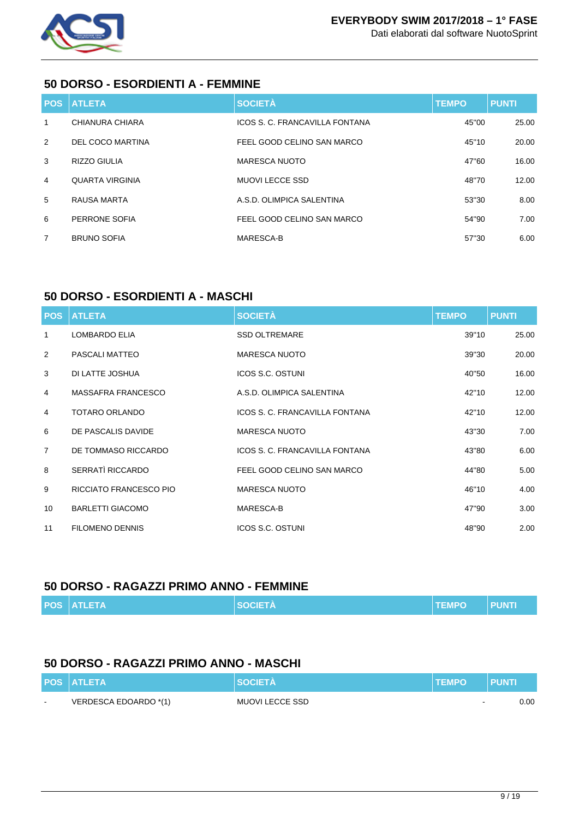

#### **50 DORSO - ESORDIENTI A - FEMMINE**

|                | <b>POS ATLETA</b>       | <b>SOCIETÀ</b>                 | <b>TEMPO</b> | <b>PUNTI</b> |
|----------------|-------------------------|--------------------------------|--------------|--------------|
| $\mathbf{1}$   | CHIANURA CHIARA         | ICOS S. C. FRANCAVILLA FONTANA | 45"00        | 25.00        |
| $\mathcal{P}$  | <b>DEL COCO MARTINA</b> | FEEL GOOD CELINO SAN MARCO     | 45"10        | 20.00        |
| 3              | <b>RIZZO GIULIA</b>     | <b>MARESCA NUOTO</b>           | 47"60        | 16.00        |
| $\overline{4}$ | <b>QUARTA VIRGINIA</b>  | <b>MUOVI LECCE SSD</b>         | 48"70        | 12.00        |
| 5              | RAUSA MARTA             | A.S.D. OLIMPICA SALENTINA      | 53"30        | 8.00         |
| 6              | PERRONE SOFIA           | FEEL GOOD CELINO SAN MARCO     | 54"90        | 7.00         |
| $\overline{7}$ | <b>BRUNO SOFIA</b>      | MARESCA-B                      | 57"30        | 6.00         |

## **50 DORSO - ESORDIENTI A - MASCHI**

| <b>POS</b>     | <b>ATLETA</b>           | <b>SOCIETÀ</b>                 | <b>TEMPO</b> | <b>PUNTI</b> |
|----------------|-------------------------|--------------------------------|--------------|--------------|
| 1              | <b>LOMBARDO ELIA</b>    | <b>SSD OLTREMARE</b>           | 39"10        | 25.00        |
| 2              | PASCALI MATTEO          | <b>MARESCA NUOTO</b>           | 39"30        | 20.00        |
| 3              | DI LATTE JOSHUA         | ICOS S.C. OSTUNI               | 40"50        | 16.00        |
| $\overline{4}$ | MASSAFRA FRANCESCO      | A.S.D. OLIMPICA SALENTINA      | 42"10        | 12.00        |
| $\overline{4}$ | TOTARO ORLANDO          | ICOS S. C. FRANCAVILLA FONTANA | 42"10        | 12.00        |
| 6              | DE PASCALIS DAVIDE      | <b>MARESCA NUOTO</b>           | 43"30        | 7.00         |
| $\overline{7}$ | DE TOMMASO RICCARDO     | ICOS S. C. FRANCAVILLA FONTANA | 43"80        | 6.00         |
| 8              | SERRATÌ RICCARDO        | FEEL GOOD CELINO SAN MARCO     | 44"80        | 5.00         |
| 9              | RICCIATO FRANCESCO PIO  | <b>MARESCA NUOTO</b>           | 46"10        | 4.00         |
| 10             | <b>BARLETTI GIACOMO</b> | MARESCA-B                      | 47"90        | 3.00         |
| 11             | <b>FILOMENO DENNIS</b>  | <b>ICOS S.C. OSTUNI</b>        | 48"90        | 2.00         |

#### **50 DORSO - RAGAZZI PRIMO ANNO - FEMMINE**

| <b>SOCIETA</b><br><b>POS ATLETA</b><br><b>PUNTI</b><br><b>TEMPO</b> |
|---------------------------------------------------------------------|
|---------------------------------------------------------------------|

## **50 DORSO - RAGAZZI PRIMO ANNO - MASCHI**

|        | <b>POS ATLETA</b>     | <b>SOCIETA</b>  | <b>TEMPO</b> | <b>PUNT</b> |
|--------|-----------------------|-----------------|--------------|-------------|
| $\sim$ | VERDESCA EDOARDO *(1) | MUOVI LECCE SSD | $\sim$       | 0.00        |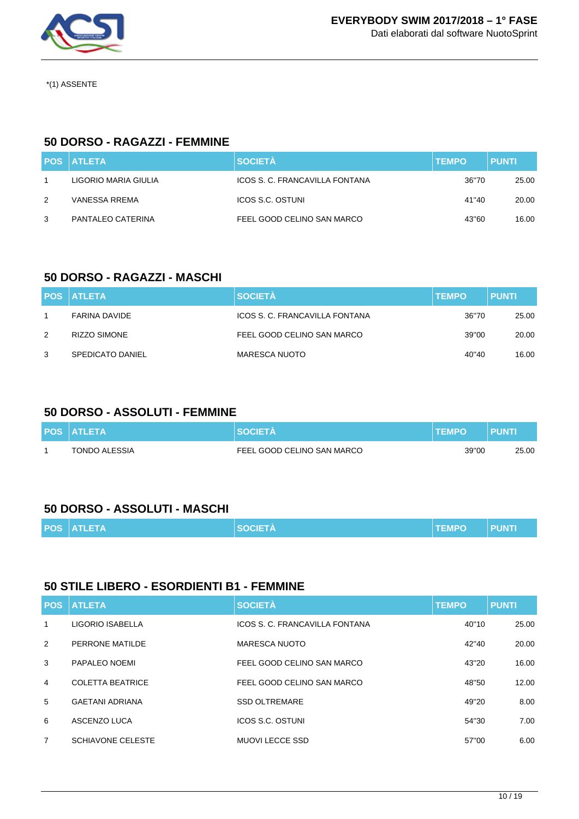

\*(1) ASSENTE

### **50 DORSO - RAGAZZI - FEMMINE**

|   | <b>POS ATLETA</b>    | <b>SOCIETÀ</b>                 | <b>TEMPO</b> | <b>PUNTI</b> |
|---|----------------------|--------------------------------|--------------|--------------|
|   | LIGORIO MARIA GIULIA | ICOS S. C. FRANCAVILLA FONTANA | 36"70        | 25.00        |
| 2 | VANESSA RREMA        | ICOS S.C. OSTUNI               | 41"40        | 20.00        |
| 3 | PANTALEO CATERINA    | FEEL GOOD CELINO SAN MARCO     | 43"60        | 16.00        |

### **50 DORSO - RAGAZZI - MASCHI**

|   | <b>POS ATLETA</b>    | <b>SOCIETÀ</b>                 | <b>TEMPO</b> | <b>PUNTI</b> |
|---|----------------------|--------------------------------|--------------|--------------|
|   | <b>FARINA DAVIDE</b> | ICOS S. C. FRANCAVILLA FONTANA | 36"70        | 25.00        |
| 2 | <b>RIZZO SIMONE</b>  | FEEL GOOD CELINO SAN MARCO     | 39"00        | 20.00        |
| 3 | SPEDICATO DANIEL     | <b>MARESCA NUOTO</b>           | 40"40        | 16.00        |

#### **50 DORSO - ASSOLUTI - FEMMINE**

| <b>POS ATLETA</b> | <b>SOCIETA</b>             | <b>TEMPO</b> | PUNT  |
|-------------------|----------------------------|--------------|-------|
| TONDO ALESSIA     | FEEL GOOD CELINO SAN MARCO | 39"00        | 25.00 |

## **50 DORSO - ASSOLUTI - MASCHI**

| <b>POS ATLETA</b> | <b>SOCIETA</b> | <b>TEMPO</b> | <b>PUNTI</b> |
|-------------------|----------------|--------------|--------------|
|                   |                |              |              |

#### **50 STILE LIBERO - ESORDIENTI B1 - FEMMINE**

|                | <b>POS ATLETA</b>        | <b>SOCIETÀ</b>                 | <b>TEMPO</b> | <b>PUNTI</b> |
|----------------|--------------------------|--------------------------------|--------------|--------------|
| 1              | LIGORIO ISABELLA         | ICOS S. C. FRANCAVILLA FONTANA | 40"10        | 25.00        |
| 2              | PERRONE MATILDE          | <b>MARESCA NUOTO</b>           | 42"40        | 20.00        |
| 3              | PAPALEO NOEMI            | FEEL GOOD CELINO SAN MARCO     | 43"20        | 16.00        |
| $\overline{4}$ | <b>COLETTA BEATRICE</b>  | FEEL GOOD CELINO SAN MARCO     | 48"50        | 12.00        |
| 5              | <b>GAETANI ADRIANA</b>   | <b>SSD OLTREMARE</b>           | 49"20        | 8.00         |
| 6              | ASCENZO LUCA             | ICOS S.C. OSTUNI               | 54"30        | 7.00         |
| $\overline{7}$ | <b>SCHIAVONE CELESTE</b> | MUOVI LECCE SSD                | 57"00        | 6.00         |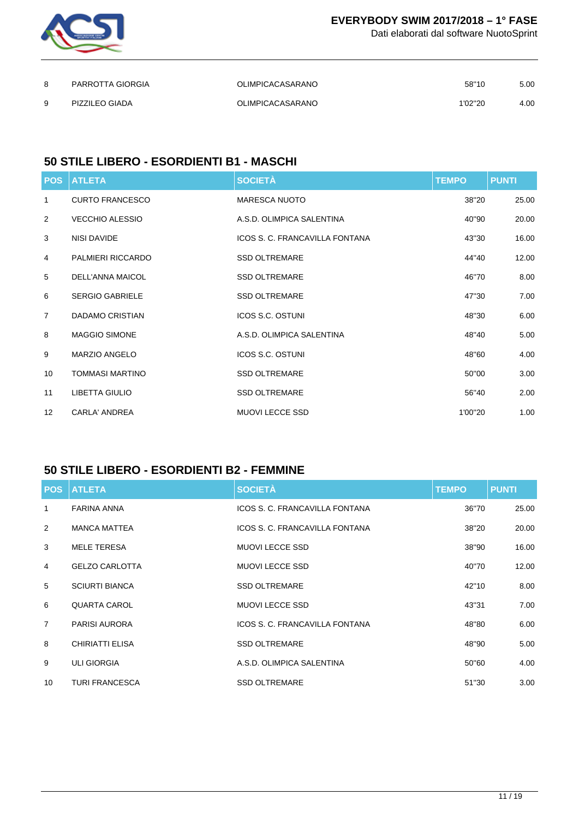

Dati elaborati dal software NuotoSprint

| 8 | PARROTTA GIORGIA | <b>OLIMPICACASARANO</b> | 58"10   | 5.00 |
|---|------------------|-------------------------|---------|------|
| Q | PIZZILEO GIADA   | <b>OLIMPICACASARANO</b> | 1'02"20 | 4.00 |

## **50 STILE LIBERO - ESORDIENTI B1 - MASCHI**

| <b>POS</b>     | <b>ATLETA</b>            | <b>SOCIETÀ</b>                 | <b>TEMPO</b> | <b>PUNTI</b> |
|----------------|--------------------------|--------------------------------|--------------|--------------|
| 1              | <b>CURTO FRANCESCO</b>   | <b>MARESCA NUOTO</b>           | 38"20        | 25.00        |
| 2              | <b>VECCHIO ALESSIO</b>   | A.S.D. OLIMPICA SALENTINA      | 40"90        | 20.00        |
| 3              | NISI DAVIDE              | ICOS S. C. FRANCAVILLA FONTANA | 43"30        | 16.00        |
| 4              | <b>PALMIERI RICCARDO</b> | <b>SSD OLTREMARE</b>           | 44"40        | 12.00        |
| 5              | DELL'ANNA MAICOL         | <b>SSD OLTREMARE</b>           | 46"70        | 8.00         |
| 6              | <b>SERGIO GABRIELE</b>   | <b>SSD OLTREMARE</b>           | 47"30        | 7.00         |
| $\overline{7}$ | DADAMO CRISTIAN          | <b>ICOS S.C. OSTUNI</b>        | 48"30        | 6.00         |
| 8              | <b>MAGGIO SIMONE</b>     | A.S.D. OLIMPICA SALENTINA      | 48"40        | 5.00         |
| 9              | <b>MARZIO ANGELO</b>     | <b>ICOS S.C. OSTUNI</b>        | 48"60        | 4.00         |
| 10             | <b>TOMMASI MARTINO</b>   | <b>SSD OLTREMARE</b>           | 50"00        | 3.00         |
| 11             | <b>LIBETTA GIULIO</b>    | <b>SSD OLTREMARE</b>           | 56"40        | 2.00         |
| 12             | <b>CARLA' ANDREA</b>     | <b>MUOVI LECCE SSD</b>         | 1'00"20      | 1.00         |

## **50 STILE LIBERO - ESORDIENTI B2 - FEMMINE**

| <b>POS</b>      | <b>ATLETA</b>          | <b>SOCIETÀ</b>                 | <b>TEMPO</b> | <b>PUNTI</b> |
|-----------------|------------------------|--------------------------------|--------------|--------------|
| 1               | <b>FARINA ANNA</b>     | ICOS S. C. FRANCAVILLA FONTANA | 36"70        | 25.00        |
| 2               | <b>MANCA MATTEA</b>    | ICOS S. C. FRANCAVILLA FONTANA | 38"20        | 20.00        |
| 3               | <b>MELE TERESA</b>     | <b>MUOVI LECCE SSD</b>         | 38"90        | 16.00        |
| 4               | <b>GELZO CARLOTTA</b>  | <b>MUOVI LECCE SSD</b>         | 40"70        | 12.00        |
| 5               | <b>SCIURTI BIANCA</b>  | <b>SSD OLTREMARE</b>           | 42"10        | 8.00         |
| 6               | <b>QUARTA CAROL</b>    | <b>MUOVI LECCE SSD</b>         | 43"31        | 7.00         |
| $\overline{7}$  | <b>PARISI AURORA</b>   | ICOS S. C. FRANCAVILLA FONTANA | 48"80        | 6.00         |
| 8               | <b>CHIRIATTI ELISA</b> | <b>SSD OLTREMARE</b>           | 48"90        | 5.00         |
| 9               | <b>ULI GIORGIA</b>     | A.S.D. OLIMPICA SALENTINA      | 50"60        | 4.00         |
| 10 <sup>°</sup> | <b>TURI FRANCESCA</b>  | <b>SSD OLTREMARE</b>           | 51"30        | 3.00         |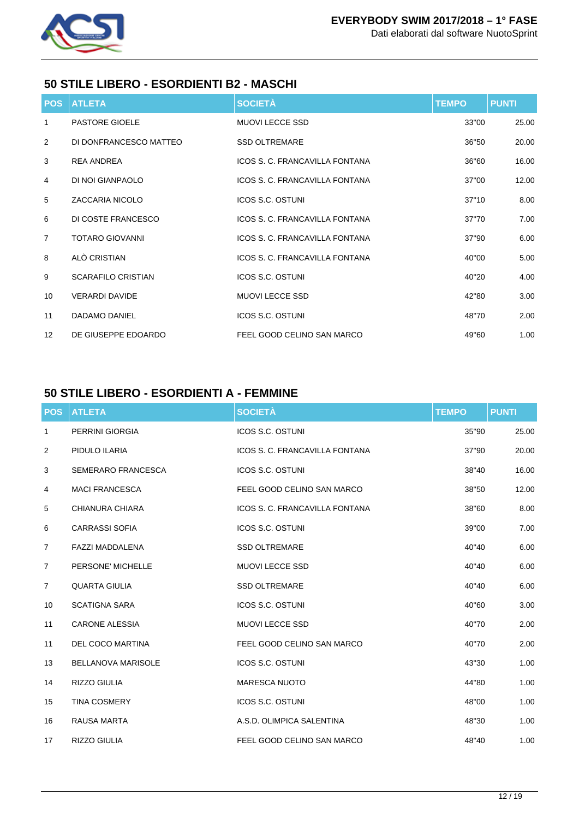

## **50 STILE LIBERO - ESORDIENTI B2 - MASCHI**

| <b>POS</b>     | <b>ATLETA</b>             | <b>SOCIETÀ</b>                 | <b>TEMPO</b> | <b>PUNTI</b> |
|----------------|---------------------------|--------------------------------|--------------|--------------|
| 1              | <b>PASTORE GIOELE</b>     | <b>MUOVI LECCE SSD</b>         | 33"00        | 25.00        |
| $\overline{2}$ | DI DONFRANCESCO MATTEO    | <b>SSD OLTREMARE</b>           | 36"50        | 20.00        |
| 3              | <b>REA ANDREA</b>         | ICOS S. C. FRANCAVILLA FONTANA | 36"60        | 16.00        |
| 4              | DI NOI GIANPAOLO          | ICOS S. C. FRANCAVILLA FONTANA | 37"00        | 12.00        |
| 5              | <b>ZACCARIA NICOLO</b>    | <b>ICOS S.C. OSTUNI</b>        | 37"10        | 8.00         |
| 6              | DI COSTE FRANCESCO        | ICOS S. C. FRANCAVILLA FONTANA | 37"70        | 7.00         |
| $\overline{7}$ | <b>TOTARO GIOVANNI</b>    | ICOS S. C. FRANCAVILLA FONTANA | 37"90        | 6.00         |
| 8              | ALÒ CRISTIAN              | ICOS S. C. FRANCAVILLA FONTANA | 40"00        | 5.00         |
| 9              | <b>SCARAFILO CRISTIAN</b> | <b>ICOS S.C. OSTUNI</b>        | 40"20        | 4.00         |
| 10             | <b>VERARDI DAVIDE</b>     | MUOVI LECCE SSD                | 42"80        | 3.00         |
| 11             | DADAMO DANIEL             | <b>ICOS S.C. OSTUNI</b>        | 48"70        | 2.00         |
| 12             | DE GIUSEPPE EDOARDO       | FEEL GOOD CELINO SAN MARCO     | 49"60        | 1.00         |

## **50 STILE LIBERO - ESORDIENTI A - FEMMINE**

| <b>POS</b>     | <b>ATLETA</b>             | <b>SOCIETÀ</b>                 | <b>TEMPO</b> | <b>PUNTI</b> |
|----------------|---------------------------|--------------------------------|--------------|--------------|
| 1              | PERRINI GIORGIA           | <b>ICOS S.C. OSTUNI</b>        | 35"90        | 25.00        |
| 2              | PIDULO ILARIA             | ICOS S. C. FRANCAVILLA FONTANA | 37"90        | 20.00        |
| 3              | <b>SEMERARO FRANCESCA</b> | <b>ICOS S.C. OSTUNI</b>        | 38"40        | 16.00        |
| 4              | <b>MACI FRANCESCA</b>     | FEEL GOOD CELINO SAN MARCO     | 38"50        | 12.00        |
| 5              | <b>CHIANURA CHIARA</b>    | ICOS S. C. FRANCAVILLA FONTANA | 38"60        | 8.00         |
| 6              | <b>CARRASSI SOFIA</b>     | ICOS S.C. OSTUNI               | 39"00        | 7.00         |
| $\overline{7}$ | <b>FAZZI MADDALENA</b>    | <b>SSD OLTREMARE</b>           | 40"40        | 6.00         |
| $\overline{7}$ | PERSONE' MICHELLE         | <b>MUOVI LECCE SSD</b>         | 40"40        | 6.00         |
| $\overline{7}$ | <b>QUARTA GIULIA</b>      | <b>SSD OLTREMARE</b>           | 40"40        | 6.00         |
| 10             | <b>SCATIGNA SARA</b>      | <b>ICOS S.C. OSTUNI</b>        | 40"60        | 3.00         |
| 11             | <b>CARONE ALESSIA</b>     | <b>MUOVI LECCE SSD</b>         | 40"70        | 2.00         |
| 11             | DEL COCO MARTINA          | FEEL GOOD CELINO SAN MARCO     | 40"70        | 2.00         |
| 13             | <b>BELLANOVA MARISOLE</b> | ICOS S.C. OSTUNI               | 43"30        | 1.00         |
| 14             | <b>RIZZO GIULIA</b>       | <b>MARESCA NUOTO</b>           | 44"80        | 1.00         |
| 15             | <b>TINA COSMERY</b>       | <b>ICOS S.C. OSTUNI</b>        | 48"00        | 1.00         |
| 16             | <b>RAUSA MARTA</b>        | A.S.D. OLIMPICA SALENTINA      | 48"30        | 1.00         |
| 17             | RIZZO GIULIA              | FEEL GOOD CELINO SAN MARCO     | 48"40        | 1.00         |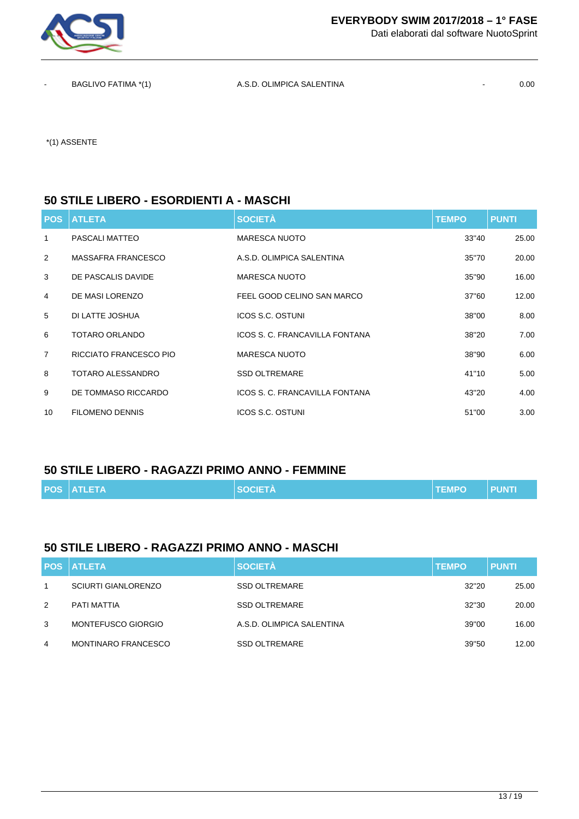

Dati elaborati dal software NuotoSprint

BAGLIVO FATIMA \*(1) A.S.D. OLIMPICA SALENTINA - 0.00

\*(1) ASSENTE

#### **50 STILE LIBERO - ESORDIENTI A - MASCHI**

| <b>POS</b>     | <b>ATLETA</b>          | <b>SOCIETÀ</b>                 | <b>TEMPO</b> | <b>PUNTI</b> |
|----------------|------------------------|--------------------------------|--------------|--------------|
| 1              | PASCALI MATTEO         | <b>MARESCA NUOTO</b>           | 33"40        | 25.00        |
| 2              | MASSAFRA FRANCESCO     | A.S.D. OLIMPICA SALENTINA      | 35"70        | 20.00        |
| 3              | DE PASCALIS DAVIDE     | MARESCA NUOTO                  | 35"90        | 16.00        |
| 4              | DE MASI LORENZO        | FEEL GOOD CELINO SAN MARCO     | 37"60        | 12.00        |
| 5              | DI LATTE JOSHUA        | ICOS S.C. OSTUNI               | 38"00        | 8.00         |
| 6              | TOTARO ORLANDO         | ICOS S. C. FRANCAVILLA FONTANA | 38"20        | 7.00         |
| $\overline{7}$ | RICCIATO FRANCESCO PIO | <b>MARESCA NUOTO</b>           | 38"90        | 6.00         |
| 8              | TOTARO ALESSANDRO      | <b>SSD OLTREMARE</b>           | 41"10        | 5.00         |
| 9              | DE TOMMASO RICCARDO    | ICOS S. C. FRANCAVILLA FONTANA | 43"20        | 4.00         |
| 10             | <b>FILOMENO DENNIS</b> | ICOS S.C. OSTUNI               | 51"00        | 3.00         |

#### **50 STILE LIBERO - RAGAZZI PRIMO ANNO - FEMMINE**

|  | <b>POS ATLETA</b> | <b>SOCIETA</b> | <b>TEMPO</b> | <b>PUNTI</b> |
|--|-------------------|----------------|--------------|--------------|
|--|-------------------|----------------|--------------|--------------|

#### **50 STILE LIBERO - RAGAZZI PRIMO ANNO - MASCHI**

|   | <b>POS ATLETA</b>          | <b>SOCIETÀ</b>            | <b>TEMPO</b> | <b>PUNTI</b> |
|---|----------------------------|---------------------------|--------------|--------------|
|   | <b>SCIURTI GIANLORENZO</b> | <b>SSD OLTREMARE</b>      | 32"20        | 25.00        |
| 2 | PATI MATTIA                | <b>SSD OLTREMARE</b>      | 32"30        | 20.00        |
| 3 | MONTEFUSCO GIORGIO         | A.S.D. OLIMPICA SALENTINA | 39"00        | 16.00        |
| 4 | <b>MONTINARO FRANCESCO</b> | <b>SSD OLTREMARE</b>      | 39"50        | 12.00        |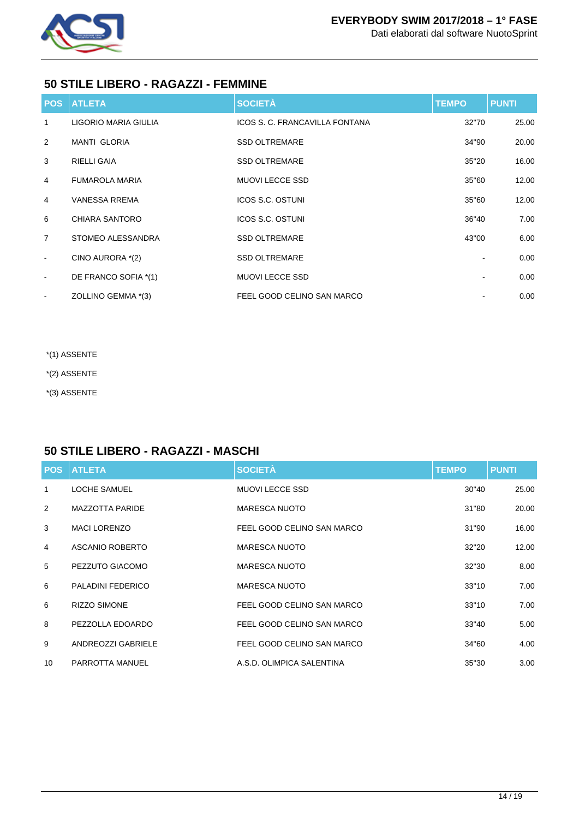

## **50 STILE LIBERO - RAGAZZI - FEMMINE**

| <b>POS</b>               | <b>ATLETA</b>         | <b>SOCIETÀ</b>                 | <b>TEMPO</b> | <b>PUNTI</b> |
|--------------------------|-----------------------|--------------------------------|--------------|--------------|
| 1                        | LIGORIO MARIA GIULIA  | ICOS S. C. FRANCAVILLA FONTANA | 32"70        | 25.00        |
| 2                        | <b>MANTI GLORIA</b>   | <b>SSD OLTREMARE</b>           | 34"90        | 20.00        |
| 3                        | <b>RIELLI GAIA</b>    | <b>SSD OLTREMARE</b>           | 35"20        | 16.00        |
| 4                        | <b>FUMAROLA MARIA</b> | <b>MUOVI LECCE SSD</b>         | 35"60        | 12.00        |
| $\overline{4}$           | <b>VANESSA RREMA</b>  | <b>ICOS S.C. OSTUNI</b>        | 35"60        | 12.00        |
| 6                        | CHIARA SANTORO        | <b>ICOS S.C. OSTUNI</b>        | 36"40        | 7.00         |
| $\overline{7}$           | STOMEO ALESSANDRA     | <b>SSD OLTREMARE</b>           | 43"00        | 6.00         |
| $\overline{\phantom{a}}$ | CINO AURORA *(2)      | <b>SSD OLTREMARE</b>           |              | 0.00         |
| $\blacksquare$           | DE FRANCO SOFIA *(1)  | <b>MUOVI LECCE SSD</b>         |              | 0.00         |
| $\overline{\phantom{a}}$ | ZOLLINO GEMMA *(3)    | FEEL GOOD CELINO SAN MARCO     |              | 0.00         |

- \*(1) ASSENTE
- \*(2) ASSENTE
- \*(3) ASSENTE

## **50 STILE LIBERO - RAGAZZI - MASCHI**

| <b>POS</b> | <b>ATLETA</b>            | <b>SOCIETÀ</b>             | <b>TEMPO</b> | <b>PUNTI</b> |
|------------|--------------------------|----------------------------|--------------|--------------|
| 1          | <b>LOCHE SAMUEL</b>      | <b>MUOVI LECCE SSD</b>     | 30"40        | 25.00        |
| 2          | <b>MAZZOTTA PARIDE</b>   | <b>MARESCA NUOTO</b>       | 31"80        | 20.00        |
| 3          | <b>MACI LORENZO</b>      | FEEL GOOD CELINO SAN MARCO | 31"90        | 16.00        |
| 4          | ASCANIO ROBERTO          | <b>MARESCA NUOTO</b>       | 32"20        | 12.00        |
| 5          | PEZZUTO GIACOMO          | MARESCA NUOTO              | 32"30        | 8.00         |
| 6          | <b>PALADINI FEDERICO</b> | <b>MARESCA NUOTO</b>       | 33"10        | 7.00         |
| 6          | <b>RIZZO SIMONE</b>      | FEEL GOOD CELINO SAN MARCO | 33"10        | 7.00         |
| 8          | PEZZOLLA EDOARDO         | FEEL GOOD CELINO SAN MARCO | 33"40        | 5.00         |
| 9          | ANDREOZZI GABRIELE       | FEEL GOOD CELINO SAN MARCO | 34"60        | 4.00         |
| 10         | PARROTTA MANUEL          | A.S.D. OLIMPICA SALENTINA  | 35"30        | 3.00         |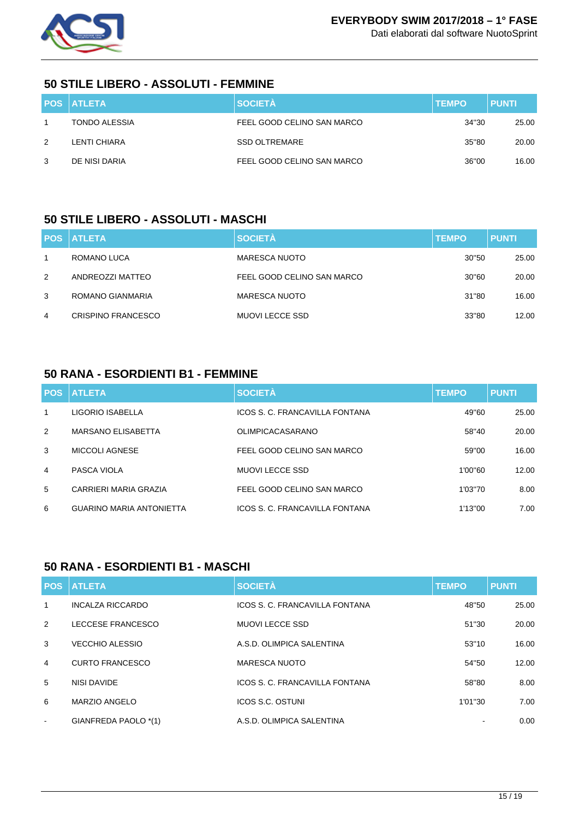

Dati elaborati dal software NuotoSprint

### **50 STILE LIBERO - ASSOLUTI - FEMMINE**

|   | <b>POS ATLETA</b> | <b>SOCIETÀ</b>             | <b>TEMPO</b> | <b>PUNTI</b> |
|---|-------------------|----------------------------|--------------|--------------|
|   | TONDO ALESSIA     | FEEL GOOD CELINO SAN MARCO | 34"30        | 25.00        |
| 2 | LENTI CHIARA      | <b>SSD OLTREMARE</b>       | 35"80        | 20.00        |
| 3 | DE NISI DARIA     | FEEL GOOD CELINO SAN MARCO | 36"00        | 16.00        |

#### **50 STILE LIBERO - ASSOLUTI - MASCHI**

|   | <b>POS ATLETA</b>         | <b>SOCIETÀ</b>             | <b>TEMPO</b> | <b>PUNTI</b> |
|---|---------------------------|----------------------------|--------------|--------------|
|   | ROMANO LUCA               | <b>MARESCA NUOTO</b>       | 30"50        | 25.00        |
| 2 | ANDREOZZI MATTEO          | FEEL GOOD CELINO SAN MARCO | 30"60        | 20.00        |
| 3 | ROMANO GIANMARIA          | <b>MARESCA NUOTO</b>       | 31"80        | 16.00        |
| 4 | <b>CRISPINO FRANCESCO</b> | <b>MUOVI LECCE SSD</b>     | 33"80        | 12.00        |

#### **50 RANA - ESORDIENTI B1 - FEMMINE**

| <b>POS</b>   | <b>ATLETA</b>                   | <b>SOCIETÀ</b>                 | <b>TEMPO</b> | <b>PUNTI</b> |
|--------------|---------------------------------|--------------------------------|--------------|--------------|
| $\mathbf{1}$ | LIGORIO ISABELLA                | ICOS S. C. FRANCAVILLA FONTANA | 49"60        | 25.00        |
| 2            | MARSANO ELISABETTA              | <b>OLIMPICACASARANO</b>        | 58"40        | 20.00        |
| 3            | MICCOLI AGNESE                  | FEEL GOOD CELINO SAN MARCO     | 59"00        | 16.00        |
| 4            | PASCA VIOLA                     | MUOVI LECCE SSD                | 1'00"60      | 12.00        |
| 5            | CARRIERI MARIA GRAZIA           | FEEL GOOD CELINO SAN MARCO     | 1'03"70      | 8.00         |
| 6            | <b>GUARINO MARIA ANTONIETTA</b> | ICOS S. C. FRANCAVILLA FONTANA | 1'13"00      | 7.00         |

#### **50 RANA - ESORDIENTI B1 - MASCHI**

| <b>POS</b>     | <b>ATLETA</b>           | <b>SOCIETÀ</b>                 | <b>TEMPO</b> | <b>PUNTI</b> |
|----------------|-------------------------|--------------------------------|--------------|--------------|
| 1              | <b>INCALZA RICCARDO</b> | ICOS S. C. FRANCAVILLA FONTANA | 48"50        | 25.00        |
| 2              | LECCESE FRANCESCO       | <b>MUOVI LECCE SSD</b>         | 51"30        | 20.00        |
| 3              | <b>VECCHIO ALESSIO</b>  | A.S.D. OLIMPICA SALENTINA      | 53"10        | 16.00        |
| $\overline{4}$ | <b>CURTO FRANCESCO</b>  | MARESCA NUOTO                  | 54"50        | 12.00        |
| 5              | NISI DAVIDE             | ICOS S. C. FRANCAVILLA FONTANA | 58"80        | 8.00         |
| 6              | <b>MARZIO ANGELO</b>    | <b>ICOS S.C. OSTUNI</b>        | 1'01"30      | 7.00         |
| $\blacksquare$ | GIANFREDA PAOLO *(1)    | A.S.D. OLIMPICA SALENTINA      |              | 0.00         |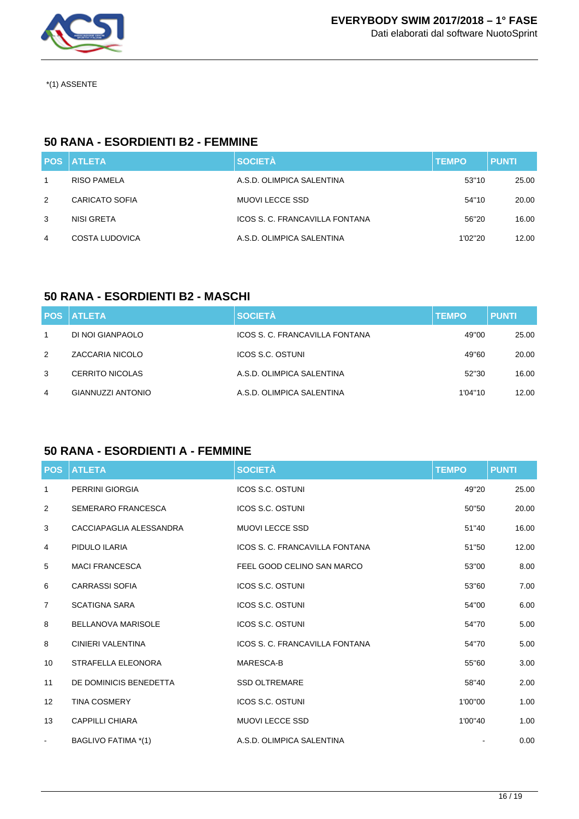

\*(1) ASSENTE

#### **50 RANA - ESORDIENTI B2 - FEMMINE**

|   | <b>POS ATLETA</b> | <b>SOCIETÀ</b>                 | <b>TEMPO</b> | <b>PUNTI</b> |
|---|-------------------|--------------------------------|--------------|--------------|
|   | RISO PAMELA       | A.S.D. OLIMPICA SALENTINA      | 53"10        | 25.00        |
| 2 | CARICATO SOFIA    | MUOVI LECCE SSD                | 54"10        | 20.00        |
| 3 | NISI GRETA        | ICOS S. C. FRANCAVILLA FONTANA | 56"20        | 16.00        |
| 4 | COSTA LUDOVICA    | A.S.D. OLIMPICA SALENTINA      | 1'02"20      | 12.00        |

### **50 RANA - ESORDIENTI B2 - MASCHI**

|   | <b>POS ATLETA</b>        | <b>SOCIETÀ</b>                 | <b>TEMPO</b> | <b>PUNTI</b> |
|---|--------------------------|--------------------------------|--------------|--------------|
| 1 | DI NOI GIANPAOLO         | ICOS S. C. FRANCAVILLA FONTANA | 49"00        | 25.00        |
| 2 | ZACCARIA NICOLO          | ICOS S.C. OSTUNI               | 49"60        | 20.00        |
| 3 | CERRITO NICOLAS          | A.S.D. OLIMPICA SALENTINA      | 52"30        | 16.00        |
| 4 | <b>GIANNUZZI ANTONIO</b> | A.S.D. OLIMPICA SALENTINA      | 1'04"10      | 12.00        |

## **50 RANA - ESORDIENTI A - FEMMINE**

| <b>POS</b>        | <b>ATLETA</b>             | <b>SOCIETÀ</b>                 | <b>TEMPO</b> | <b>PUNTI</b> |
|-------------------|---------------------------|--------------------------------|--------------|--------------|
| 1                 | <b>PERRINI GIORGIA</b>    | <b>ICOS S.C. OSTUNI</b>        | 49"20        | 25.00        |
| 2                 | <b>SEMERARO FRANCESCA</b> | <b>ICOS S.C. OSTUNI</b>        | 50"50        | 20.00        |
| 3                 | CACCIAPAGLIA ALESSANDRA   | <b>MUOVI LECCE SSD</b>         | 51"40        | 16.00        |
| 4                 | PIDULO ILARIA             | ICOS S. C. FRANCAVILLA FONTANA | 51"50        | 12.00        |
| 5                 | <b>MACI FRANCESCA</b>     | FEEL GOOD CELINO SAN MARCO     | 53"00        | 8.00         |
| 6                 | <b>CARRASSI SOFIA</b>     | <b>ICOS S.C. OSTUNI</b>        | 53"60        | 7.00         |
| $\overline{7}$    | <b>SCATIGNA SARA</b>      | <b>ICOS S.C. OSTUNI</b>        | 54"00        | 6.00         |
| 8                 | <b>BELLANOVA MARISOLE</b> | <b>ICOS S.C. OSTUNI</b>        | 54"70        | 5.00         |
| 8                 | <b>CINIERI VALENTINA</b>  | ICOS S. C. FRANCAVILLA FONTANA | 54"70        | 5.00         |
| 10                | STRAFELLA ELEONORA        | MARESCA-B                      | 55"60        | 3.00         |
| 11                | DE DOMINICIS BENEDETTA    | <b>SSD OLTREMARE</b>           | 58"40        | 2.00         |
| $12 \overline{ }$ | <b>TINA COSMERY</b>       | <b>ICOS S.C. OSTUNI</b>        | 1'00"00      | 1.00         |
| 13                | <b>CAPPILLI CHIARA</b>    | <b>MUOVI LECCE SSD</b>         | 1'00"40      | 1.00         |
| $\blacksquare$    | BAGLIVO FATIMA *(1)       | A.S.D. OLIMPICA SALENTINA      |              | 0.00         |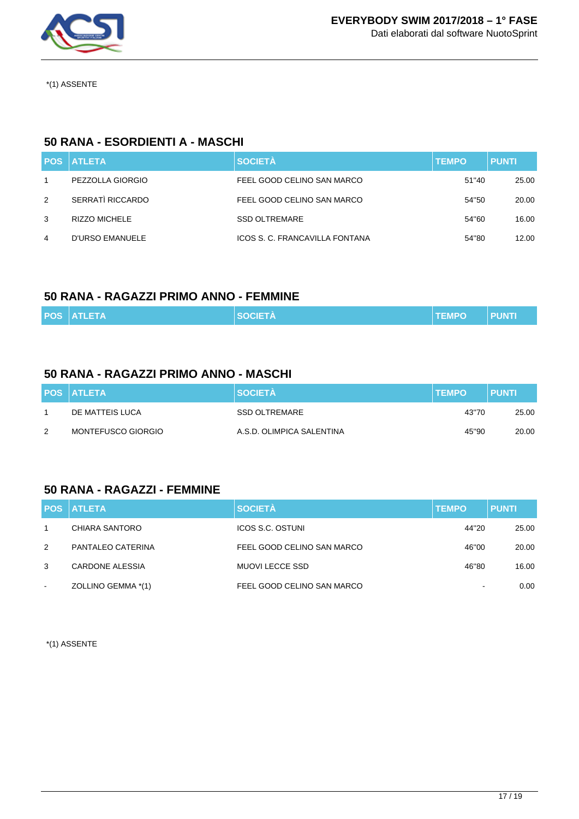

\*(1) ASSENTE

### **50 RANA - ESORDIENTI A - MASCHI**

|   | <b>POS ATLETA</b>    | <b>SOCIETÀ</b>                 | <b>TEMPO</b> | <b>PUNTI</b> |
|---|----------------------|--------------------------------|--------------|--------------|
|   | PEZZOLLA GIORGIO     | FEEL GOOD CELINO SAN MARCO     | 51"40        | 25.00        |
| 2 | SERRATÌ RICCARDO     | FEEL GOOD CELINO SAN MARCO     | 54"50        | 20.00        |
| 3 | <b>RIZZO MICHELE</b> | <b>SSD OLTREMARE</b>           | 54"60        | 16.00        |
| 4 | D'URSO EMANUELE      | ICOS S. C. FRANCAVILLA FONTANA | 54"80        | 12.00        |

#### **50 RANA - RAGAZZI PRIMO ANNO - FEMMINE**

| <b>POS ATLETA</b> |  | <b>SOCIETÀ</b> | <b>TEMPO</b> | <b>PUNTI</b> |
|-------------------|--|----------------|--------------|--------------|
|-------------------|--|----------------|--------------|--------------|

### **50 RANA - RAGAZZI PRIMO ANNO - MASCHI**

|               | <b>POS ATLETA</b>  | <b>SOCIETA</b>            | <b>ITEMPO</b> | <b>PUNTI</b> |
|---------------|--------------------|---------------------------|---------------|--------------|
|               | DE MATTEIS LUCA    | SSD OLTREMARE             | 43"70         | 25.00        |
| $\mathcal{P}$ | MONTEFUSCO GIORGIO | A.S.D. OLIMPICA SALENTINA | 45"90         | 20.00        |

## **50 RANA - RAGAZZI - FEMMINE**

|        | <b>POS ATLETA</b>  | <b>SOCIETÀ</b>             | <b>TEMPO</b>             | <b>PUNTI</b> |
|--------|--------------------|----------------------------|--------------------------|--------------|
|        | CHIARA SANTORO     | <b>ICOS S.C. OSTUNI</b>    | 44"20                    | 25.00        |
| 2      | PANTALEO CATERINA  | FEEL GOOD CELINO SAN MARCO | 46"00                    | 20.00        |
| 3      | CARDONE ALESSIA    | <b>MUOVI LECCE SSD</b>     | 46"80                    | 16.00        |
| $\sim$ | ZOLLINO GEMMA *(1) | FEEL GOOD CELINO SAN MARCO | $\overline{\phantom{a}}$ | 0.00         |

\*(1) ASSENTE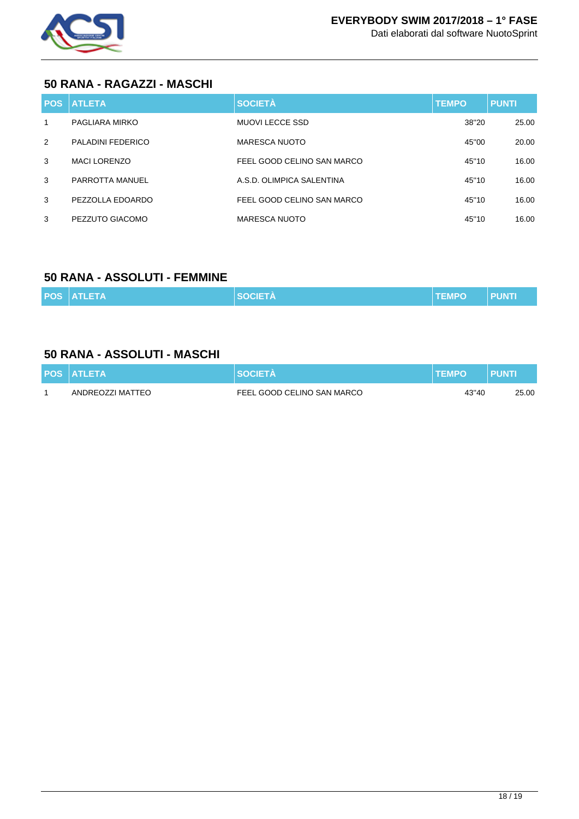

#### **50 RANA - RAGAZZI - MASCHI**

|   | <b>POS ATLETA</b>   | <b>SOCIETÀ</b>             | <b>TEMPO</b> | <b>PUNTI</b> |
|---|---------------------|----------------------------|--------------|--------------|
| 1 | PAGLIARA MIRKO      | MUOVI LECCE SSD            | 38"20        | 25.00        |
| 2 | PALADINI FEDERICO   | MARESCA NUOTO              | 45"00        | 20.00        |
| 3 | <b>MACI LORENZO</b> | FEEL GOOD CELINO SAN MARCO | 45"10        | 16.00        |
| 3 | PARROTTA MANUEL     | A.S.D. OLIMPICA SALENTINA  | 45"10        | 16.00        |
| 3 | PEZZOLLA EDOARDO    | FEEL GOOD CELINO SAN MARCO | 45"10        | 16.00        |
| 3 | PEZZUTO GIACOMO     | <b>MARESCA NUOTO</b>       | 45"10        | 16.00        |

## **50 RANA - ASSOLUTI - FEMMINE**

|  | <b>POS ATLETA</b> | <b>SOCIETA</b> | <b>TEMPO</b> | <b>PUNTI</b> |
|--|-------------------|----------------|--------------|--------------|
|--|-------------------|----------------|--------------|--------------|

## **50 RANA - ASSOLUTI - MASCHI**

| <b>POS ATLETA</b> | <b>SOCIETA</b>             | <b>TEMPO</b> | <b>PUNT</b> |
|-------------------|----------------------------|--------------|-------------|
| ANDREOZZI MATTEO  | FEEL GOOD CELINO SAN MARCO | 43"40        | 25.00       |